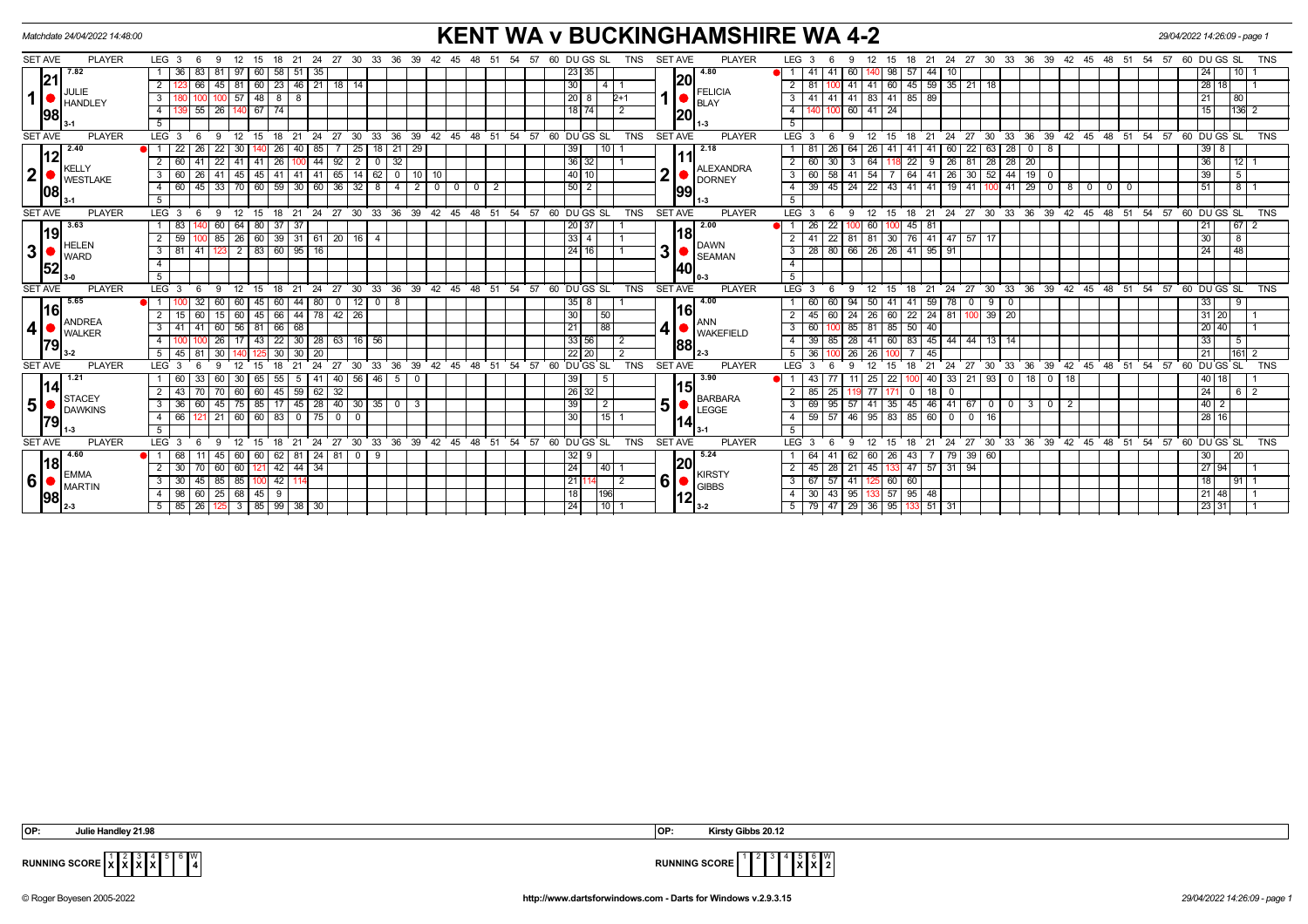| Matchdate 24/04/2022 14:48:00                                                                                   | <b>KENT WA v BUCKINGHAMSHIRE WA 4-2</b>                                                            |                                                                                                                                         | 29/04/2022 14:26:09 - page 1                |
|-----------------------------------------------------------------------------------------------------------------|----------------------------------------------------------------------------------------------------|-----------------------------------------------------------------------------------------------------------------------------------------|---------------------------------------------|
| SET AVE<br><b>PLAYER</b><br>LEG 3<br>39<br>12<br>24<br>27<br>30<br>33<br>-36<br>-6<br>-9<br>15<br>21            | <b>PLAYER</b><br>60 DU GS SL<br><b>SET AVE</b><br>42<br><b>TNS</b><br>-54                          | LEG <sub>3</sub><br>- 36<br>21<br>24<br>27<br>30<br>33<br>39<br>- 42<br>45<br>48<br>- 51<br>54<br>18<br>15                              | 60 DU GS SL<br>57<br><b>TNS</b>             |
| 7.82<br>-36<br>83<br>58<br>60<br>51<br>-35                                                                      | 4.80<br>23 35                                                                                      | -41<br>60<br>98<br>57<br>44                                                                                                             | 24<br>10 <sub>l</sub>                       |
| 21 <br>45 81 60 23 46 21 18 14<br>66 I<br><b>JULIE</b>                                                          | 20<br>30<br>$\overline{4}$<br><b>FELICIA</b>                                                       | 45 59 35 21 18<br>$41$ 41 60<br>2                                                                                                       | $\overline{28}$<br>$\overline{1}$ 1<br>18 I |
| 1 l<br>57<br>48 8 8<br>3<br><b>HANDLEY</b>                                                                      | 20 8<br>$2+1$<br><b>BLAY</b>                                                                       | 41 83 41 85 89<br>$41$   41<br>3                                                                                                        | 80 I<br>21                                  |
| 140 67 74<br>$55$ 26<br>4<br>98                                                                                 | $18$ 74<br> 20                                                                                     | 60 41 24<br>100                                                                                                                         | $ 136 $ 2<br>15                             |
| 5                                                                                                               | $11-3$                                                                                             |                                                                                                                                         |                                             |
| <b>PLAYER</b><br>LEG 3<br>15<br><b>SET AVE</b><br>- 6<br>9<br>12<br>18                                          | 21 24 27 30 33 36 39 42 45 48 51 54 57 60 DUGS SL<br><b>PLAYER</b><br><b>TNS</b><br><b>SET AVE</b> | 12 15 18 21 24 27 30 33 36 39 42 45 48 51 54 57 60 DUGS SL<br>$LEG^3$ 3<br>- 6<br>9                                                     | <b>TNS</b>                                  |
| 2.40<br>29<br>22<br>22<br>30<br>25<br>$18$ 21<br>26 <sub>1</sub><br>26 <sup>1</sup><br>40<br>  85               | 2.18<br> 39 <br>10                                                                                 | 63 28<br>60<br>22<br>26<br>64<br><b>26</b><br>41<br>41   41<br>  0  <br>  8                                                             | $39 \mid 8$                                 |
| 12<br>26<br>$-44$<br>92<br>60<br>22<br>41<br>32<br>41<br>41<br>$\overline{2}$<br>0<br>100<br><b>KELLY</b>       | 36 32<br><b>ALEXANDRA</b>                                                                          | 26<br>28<br>30<br>22<br>81<br>28<br>20<br>$\overline{2}$                                                                                | 36<br>$12$ 1                                |
| $\mathbf{2}$<br>45<br> 45 <br>41<br>$141$ 41 65<br>14<br>62<br>$0$ 10<br>3<br>60<br>26 41<br><b>WESTLAKE</b>    | ∩<br>40 10<br><b>DORNEY</b>                                                                        | 64 41 26 30<br>52 44 19 0<br>58<br>54<br>$\mathbf{3}$<br><b>7</b> I                                                                     | 5<br>39                                     |
| 45 33 70 60 59 30 60 36 32 8 4 2<br>60<br>$\overline{4}$<br>108                                                 | $\circ$<br> 50 2<br>$0$   0<br>$\overline{2}$<br>99                                                | 45   24   22   43   41   41   19   41   100   41   29   0   8  <br>$\overline{4}$<br>$\mathbf{0}$<br>0 <sub>0</sub>                     | 51<br>81                                    |
| -5                                                                                                              | 1-3                                                                                                | -5                                                                                                                                      |                                             |
| <b>SET AVE</b><br><b>PLAYER</b><br>LEG <sub>3</sub><br>$12 \overline{ }$<br>15<br>18<br>- 6<br>- 9              | 21 24 27 30 33 36 39 42 45 48 51 54 57 60 DUGS SL<br><b>TNS</b><br><b>SET AVE</b><br><b>PLAYER</b> | LEG <sup>3</sup><br>18 21 24 27 30 33 36 39 42 45 48 51 54 57<br>12 15<br>- 6<br>-9                                                     | 60 DU GS SL<br><b>TNS</b>                   |
| 3.63<br>60<br>64<br> 80 <br>-37 I<br>-37<br>83<br> 19                                                           | 2.00<br>20 37                                                                                      | 45 81<br>22<br>60 I                                                                                                                     | $67$   2<br>21                              |
| 26   60   39   31   61   20   16   4<br>59<br>85<br>$\blacksquare$ HELEN                                        | I18I<br>$33$   4<br><b>DAWN</b>                                                                    | 22<br>81   81   30   76   41   47   57   17                                                                                             | 30<br>8                                     |
| 3 <sup>1</sup><br>$3 \overline{81}$<br>2 83 60 95 16<br>41 123<br>WARD                                          | 3<br> 24 16 <br><b>SEAMAN</b>                                                                      | 28   80   66   26   26   41   95   91<br>$\mathbf{3}$                                                                                   | 24<br>48 I                                  |
| $\overline{4}$<br>52                                                                                            | <b>140</b>                                                                                         |                                                                                                                                         |                                             |
| -5                                                                                                              |                                                                                                    |                                                                                                                                         |                                             |
| <b>PLAYER</b><br>LEG <sup>3</sup><br>33<br>ີ 36<br><b>SET AVE</b><br>27<br>30<br>21<br>24                       | 39 42 45<br>$48 \t 51$<br>54 57<br>60 DUGS SL<br><b>TNS</b><br><b>SET AVE</b><br><b>PLAYER</b>     | 30 33 36 39 42 45 48 51 54 57 60 DUGS SL<br>LEG <sup>3</sup><br>24<br>$\cdot$ 27<br>18<br>21<br>15                                      | <b>TNS</b>                                  |
| 5.65<br>12<br>$0$   8<br>80<br> 16                                                                              | 4.00<br>$35$   8<br>161                                                                            | 78<br>$\mathbf 0$<br>9 I                                                                                                                | 33                                          |
| 66<br>44 78 42 26<br>45<br>15<br><b>ANDREA</b>                                                                  | 30<br>50<br><b>ANN</b>                                                                             | $22$ 24 81<br>60<br>$39 \mid 20$<br>60<br><b>26</b>                                                                                     | 31 20                                       |
| $\overline{\mathbf{r}}$<br>56<br>66<br>60<br>68<br>$3^{\circ}$<br>-41<br>-81 I<br>41<br><b>WALKER</b>           | 88<br>21<br><b>WAKEFIELD</b>                                                                       | $50 \mid 40$<br>85 81 85                                                                                                                | 20 40                                       |
| $30$   28   63   16   56<br>-22 I<br>26<br>43<br> 79                                                            | 33 56 <br>88                                                                                       | 83 45 44<br> 44 13 14<br>85<br>28 41 60                                                                                                 | 33<br>- 5 I                                 |
| 45<br>81<br>30<br>-20                                                                                           | $22$ 20                                                                                            | 45                                                                                                                                      | 21<br>$161$ 2                               |
| 36<br><b>SET AVE</b><br><b>PLAYER</b><br>LEG <sub>3</sub><br>24<br>27<br>30<br>33<br>15<br>21                   | 39 42 45 48 51 54 57<br>60 DUGS SL<br><b>TNS</b><br><b>SET AVE</b><br><b>PLAYER</b>                | $\frac{1}{27}$<br>$30 \t33 \t36$<br>39 42 45 48 51 54 57<br>LEG <sub>3</sub><br>18<br>21<br>24<br>15                                    | 60 DU GS SL<br><b>TNS</b>                   |
| 1.21<br>40 56 46<br>30<br>55 I<br>-41<br>50<br>60<br>60.<br>-65 I<br>5<br> 14                                   | 3.90<br> 39 <br>-5                                                                                 | $\boxed{0}$ 18<br>22<br>33<br>  21<br> 93 0<br>  18  <br>25<br>-40                                                                      | 40 <br>18 I                                 |
| $45 \mid 59 \mid 62 \mid$<br>43<br>60<br>60<br>32<br><b>STACEY</b>                                              | 15<br>  26   32  <br><b>BARBARA</b>                                                                | 25<br>0   18  <br>$\mathbf 0$                                                                                                           | 24 <br>$6 \mid 2$                           |
| 5<br>  85   17   45   28   40   30   35   0  <br>36<br>75<br>$\mathbf{3}$<br>3<br>-60 I<br>45<br><b>DAWKINS</b> | 5<br>39 <sup>1</sup><br>$\overline{2}$<br>LEGGE                                                    | 95<br> 41 35<br>45 46 41 67<br>$\mathbf{3}$<br>$\begin{array}{c c} \circ & \circ & \circ \end{array}$<br>$\mathbf{3}$<br>$0$   2<br>-57 | 40                                          |
| 66<br>60<br>60<br>83<br>$\mathbf{0}$<br>$\overline{4}$<br>121 21<br>$\overline{0}$<br>79                        | 15<br>30<br>14                                                                                     | $59$ 57<br>46 95 83<br>85   60<br>$\overline{0}$<br>$\overline{0}$<br>16 l<br>$\overline{4}$                                            | 28 <br>16 I                                 |
| - 5                                                                                                             |                                                                                                    | -5                                                                                                                                      |                                             |
| <b>SET AVE</b><br><b>PLAYER</b><br>LEG <sup>3</sup><br>12<br>15<br>21<br>24 27<br>-6<br>-9<br>18                | 30 33 36 39 42 45 48 51 54 57 60 DUGS SL<br><b>SET AVE</b><br><b>PLAYER</b><br><b>TNS</b>          | 24 27 30 33 36 39 42 45 48 51 54 57<br>LEG 3<br>12<br>15<br>18<br>21<br>-9                                                              | 60 DUGS SL<br><b>TNS</b>                    |
| 4.60<br>62   81<br>  24   81   0<br>- 9<br>68<br>45<br>60<br>60 I<br><u> 18</u>                                 | 5.24<br>$32$ 9<br> 20                                                                              | 79 39 60<br>62 60 26<br>43                                                                                                              | 30<br>  20                                  |
| $121$ 42 44 34<br>30<br>60<br>60<br>$\blacksquare$ EMMA                                                         | 24<br> 40 <br><b>KIRSTY</b>                                                                        | 47 57 31 94<br>$45 \mid 28$<br>45 133<br>$\overline{2}$<br>21                                                                           | 27 94                                       |
| $6 \mid$<br>42<br>45 85<br>85<br>$\mathbf{3}$<br>30<br>$\blacksquare$ MARTIN                                    | 6<br> 21 1<br>$\overline{2}$<br><b>GIBBS</b>                                                       | 67 57<br>125 60 60<br>$\mathbf{3}$<br>41                                                                                                | 18<br>9111                                  |
| 60 25 68 45 9<br>98<br>4<br><b>98</b>                                                                           | 18 I<br>196<br>12                                                                                  | 95 133 57 95 48<br>$30 \mid 43 \mid$                                                                                                    | 21 48                                       |
| $3$ 85 99 38 30<br>$5 \mid 85$<br>$\overline{26}$<br>125                                                        | 24 <br>10                                                                                          | $79$ 47 29 36 95<br>133 51 31                                                                                                           | 23 31                                       |

| OP: | 21.98<br>Handlev<br>Julie<br>$\begin{array}{cccccccccccccc} \multicolumn{4}{c}{} & \multicolumn{4}{c}{} & \multicolumn{4}{c}{} & \multicolumn{4}{c}{} & \multicolumn{4}{c}{} & \multicolumn{4}{c}{} & \multicolumn{4}{c}{} & \multicolumn{4}{c}{} & \multicolumn{4}{c}{} & \multicolumn{4}{c}{} & \multicolumn{4}{c}{} & \multicolumn{4}{c}{} & \multicolumn{4}{c}{} & \multicolumn{4}{c}{} & \multicolumn{4}{c}{} & \multicolumn{4}{c}{} & \multicolumn{4}{c}{} & \multicolumn{4}{c}{} & \multicolumn{4}{c}{} & \$ | I OP: | Kirsty<br>.30.49<br>aihh |
|-----|---------------------------------------------------------------------------------------------------------------------------------------------------------------------------------------------------------------------------------------------------------------------------------------------------------------------------------------------------------------------------------------------------------------------------------------------------------------------------------------------------------------------|-------|--------------------------|
|     |                                                                                                                                                                                                                                                                                                                                                                                                                                                                                                                     |       |                          |

**RUNNING SCORE**  $\begin{bmatrix} 1 & 2 & 3 & 4 \ \mathbf{X} & \mathbf{X} & \mathbf{X} \end{bmatrix}$  $\begin{bmatrix} 4 & 5 & 6 \ \mathbf{X} & 4 & 5 \end{bmatrix}$  $\begin{bmatrix} 0 & 0 & 0 \ \mathbf{X} & \mathbf{X} & \mathbf{X} \end{bmatrix}$ 



© Roger Boyesen 2005-2022 **http://www.dartsforwindows.com - Darts for Windows v.2.9.3.15** *29/04/2022 14:26:09 - page 1*